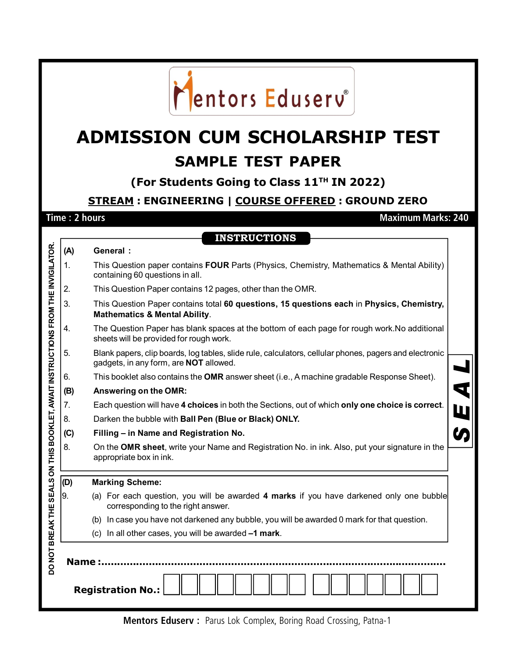

## **ADMISSION CUM SCHOLARSHIP TEST SAMPLE TEST PAPER**

**(For Students Going to Class 11TH IN 2022)**

**STREAM : ENGINEERING | COURSE OFFERED : GROUND ZERO**

**INSTRUCTIONS**

## **Time : 2 hours Maximum Marks: 240**

 $\blacksquare$ 

|                                                                                  | (A)     | <b>General:</b>                                                                                                                                         |          |
|----------------------------------------------------------------------------------|---------|---------------------------------------------------------------------------------------------------------------------------------------------------------|----------|
|                                                                                  | 1.      | This Question paper contains FOUR Parts (Physics, Chemistry, Mathematics & Mental Ability)<br>containing 60 questions in all.                           |          |
|                                                                                  | 2.      | This Question Paper contains 12 pages, other than the OMR.                                                                                              |          |
|                                                                                  | 3.      | This Question Paper contains total 60 questions, 15 questions each in Physics, Chemistry,<br><b>Mathematics &amp; Mental Ability.</b>                   |          |
|                                                                                  | 4.      | The Question Paper has blank spaces at the bottom of each page for rough work. No additional<br>sheets will be provided for rough work.                 |          |
|                                                                                  | 5.      | Blank papers, clip boards, log tables, slide rule, calculators, cellular phones, pagers and electronic<br>gadgets, in any form, are <b>NOT</b> allowed. |          |
|                                                                                  | 6.      | This booklet also contains the OMR answer sheet (i.e., A machine gradable Response Sheet).                                                              |          |
|                                                                                  | (B)     | Answering on the OMR:                                                                                                                                   | <b>प</b> |
|                                                                                  | 7.      | Each question will have 4 choices in both the Sections, out of which only one choice is correct.                                                        | W        |
|                                                                                  | 8.      | Darken the bubble with Ball Pen (Blue or Black) ONLY.                                                                                                   |          |
|                                                                                  | (C)     | Filling - in Name and Registration No.                                                                                                                  |          |
|                                                                                  | 8.      | On the OMR sheet, write your Name and Registration No. in ink. Also, put your signature in the<br>appropriate box in ink.                               |          |
|                                                                                  | (D)     | <b>Marking Scheme:</b>                                                                                                                                  |          |
|                                                                                  | 9.      | (a) For each question, you will be awarded 4 marks if you have darkened only one bubble<br>corresponding to the right answer.                           |          |
|                                                                                  |         | In case you have not darkened any bubble, you will be awarded 0 mark for that question.<br>(b)                                                          |          |
|                                                                                  |         | (c) In all other cases, you will be awarded -1 mark.                                                                                                    |          |
| DO NOT BREAK THE SEALS ON THIS BOOKLET, AWAIT INSTRUCTIONS FROM THE INVIGILATOR. | Name :. | <b>Registration No.:</b>                                                                                                                                |          |

**Mentors Eduserv :** Parus Lok Complex, Boring Road Crossing, Patna-1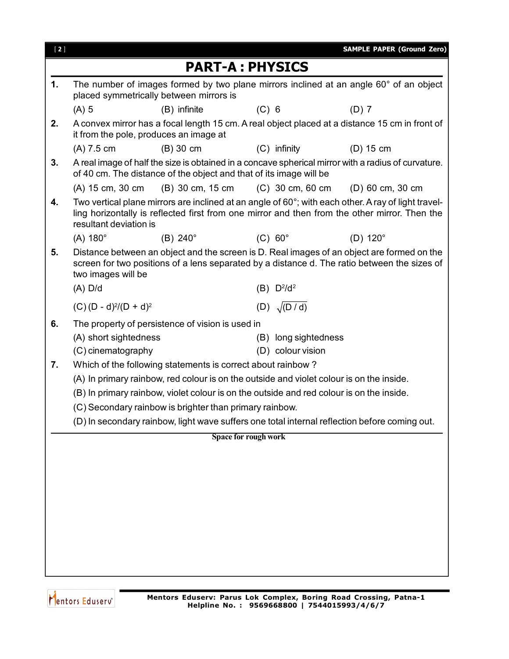| $[2]$ |                                                  |                                                                                          |         |                                           | <b>SAMPLE PAPER (Ground Zero)</b>                                                                                                                                                                    |
|-------|--------------------------------------------------|------------------------------------------------------------------------------------------|---------|-------------------------------------------|------------------------------------------------------------------------------------------------------------------------------------------------------------------------------------------------------|
|       |                                                  | <b>PART-A: PHYSICS</b>                                                                   |         |                                           |                                                                                                                                                                                                      |
| 1.    |                                                  | placed symmetrically between mirrors is                                                  |         |                                           | The number of images formed by two plane mirrors inclined at an angle 60° of an object                                                                                                               |
|       | $(A)$ 5                                          | (B) infinite                                                                             | $(C)$ 6 |                                           | $(D)$ 7                                                                                                                                                                                              |
| 2.    | it from the pole, produces an image at           |                                                                                          |         |                                           | A convex mirror has a focal length 15 cm. A real object placed at a distance 15 cm in front of                                                                                                       |
|       | $(A)$ 7.5 cm                                     | $(B)$ 30 cm                                                                              |         | $(C)$ infinity                            | $(D)$ 15 cm                                                                                                                                                                                          |
| 3.    |                                                  | of 40 cm. The distance of the object and that of its image will be                       |         |                                           | A real image of half the size is obtained in a concave spherical mirror with a radius of curvature.                                                                                                  |
|       | (A) 15 cm, 30 cm                                 | (B) 30 cm, 15 cm                                                                         |         | (C) 30 cm, 60 cm                          | (D) 60 cm, 30 cm                                                                                                                                                                                     |
| 4.    | resultant deviation is                           |                                                                                          |         |                                           | Two vertical plane mirrors are inclined at an angle of 60°; with each other. A ray of light travel-<br>ling horizontally is reflected first from one mirror and then from the other mirror. Then the |
|       | $(A) 180^\circ$                                  | $(B)$ 240 $^{\circ}$                                                                     |         | $(C) 60^\circ$                            | $(D)$ 120 $^{\circ}$                                                                                                                                                                                 |
| 5.    | two images will be                               |                                                                                          |         |                                           | Distance between an object and the screen is D. Real images of an object are formed on the<br>screen for two positions of a lens separated by a distance d. The ratio between the sizes of           |
|       | $(A)$ D/d                                        |                                                                                          |         | (B) D <sup>2</sup> /d <sup>2</sup>        |                                                                                                                                                                                                      |
|       | $(C)$ (D - d) <sup>2</sup> /(D + d) <sup>2</sup> |                                                                                          |         | (D) $\sqrt{(D/d)}$                        |                                                                                                                                                                                                      |
| 6.    | (A) short sightedness<br>(C) cinematography      | The property of persistence of vision is used in                                         |         | (B) long sightedness<br>(D) colour vision |                                                                                                                                                                                                      |
| 7.    |                                                  | Which of the following statements is correct about rainbow?                              |         |                                           |                                                                                                                                                                                                      |
|       |                                                  | (A) In primary rainbow, red colour is on the outside and violet colour is on the inside. |         |                                           |                                                                                                                                                                                                      |
|       |                                                  | (B) In primary rainbow, violet colour is on the outside and red colour is on the inside. |         |                                           |                                                                                                                                                                                                      |
|       |                                                  | (C) Secondary rainbow is brighter than primary rainbow.                                  |         |                                           |                                                                                                                                                                                                      |
|       |                                                  |                                                                                          |         |                                           | (D) In secondary rainbow, light wave suffers one total internal reflection before coming out.                                                                                                        |
|       |                                                  | Space for rough work                                                                     |         |                                           |                                                                                                                                                                                                      |
|       |                                                  |                                                                                          |         |                                           |                                                                                                                                                                                                      |
|       |                                                  |                                                                                          |         |                                           |                                                                                                                                                                                                      |
|       |                                                  |                                                                                          |         |                                           |                                                                                                                                                                                                      |
|       |                                                  |                                                                                          |         |                                           |                                                                                                                                                                                                      |
|       |                                                  |                                                                                          |         |                                           |                                                                                                                                                                                                      |
|       |                                                  |                                                                                          |         |                                           |                                                                                                                                                                                                      |
|       |                                                  |                                                                                          |         |                                           |                                                                                                                                                                                                      |
|       |                                                  |                                                                                          |         |                                           |                                                                                                                                                                                                      |
|       |                                                  |                                                                                          |         |                                           |                                                                                                                                                                                                      |

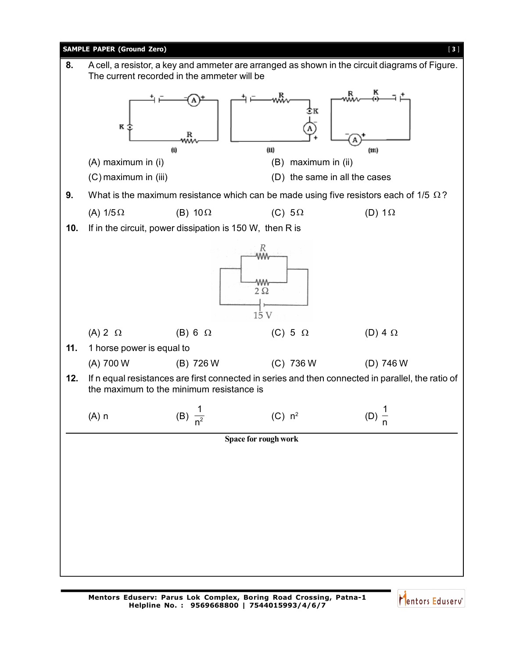

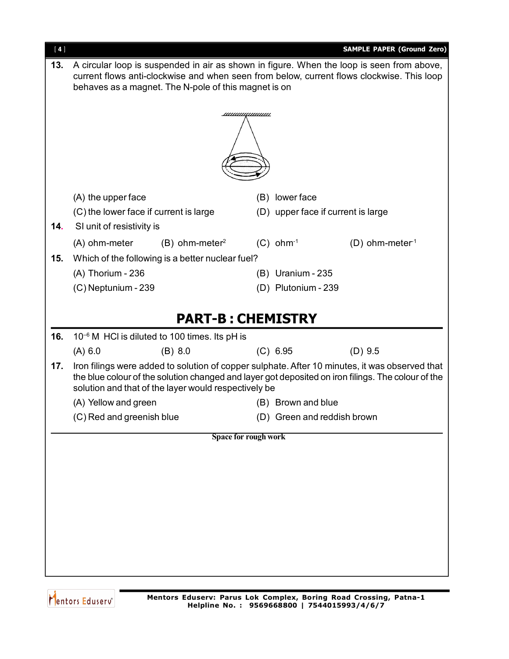| A circular loop is suspended in air as shown in figure. When the loop is seen from above,<br>13.<br>current flows anti-clockwise and when seen from below, current flows clockwise. This loop<br>behaves as a magnet. The N-pole of this magnet is on<br><u>шишишиши</u><br>(B) lower face<br>(A) the upper face<br>(C) the lower face if current is large<br>(D) upper face if current is large<br>SI unit of resistivity is<br>14.<br>$(C)$ ohm <sup>-1</sup><br>$(B)$ ohm-meter <sup>2</sup><br>(A) ohm-meter<br>$(D)$ ohm-meter <sup>1</sup><br>15.<br>Which of the following is a better nuclear fuel?<br>(A) Thorium - 236<br>(B) Uranium - 235<br>(D) Plutonium - 239<br>(C) Neptunium - 239<br><b>PART-B: CHEMISTRY</b><br>16.<br>$10^{-6}$ M HCI is diluted to 100 times. Its pH is<br>(A) 6.0<br>(C) 6.95<br>(B) 8.0<br>$(D)$ 9.5<br>Iron filings were added to solution of copper sulphate. After 10 minutes, it was observed that<br>17.<br>the blue colour of the solution changed and layer got deposited on iron filings. The colour of the<br>solution and that of the layer would respectively be<br>(A) Yellow and green<br>(B) Brown and blue<br>(C) Red and greenish blue<br>(D) Green and reddish brown<br><b>Space for rough work</b> | $[4]$ |  |  |  |  | <b>SAMPLE PAPER (Ground Zero)</b> |
|-------------------------------------------------------------------------------------------------------------------------------------------------------------------------------------------------------------------------------------------------------------------------------------------------------------------------------------------------------------------------------------------------------------------------------------------------------------------------------------------------------------------------------------------------------------------------------------------------------------------------------------------------------------------------------------------------------------------------------------------------------------------------------------------------------------------------------------------------------------------------------------------------------------------------------------------------------------------------------------------------------------------------------------------------------------------------------------------------------------------------------------------------------------------------------------------------------------------------------------------------------------|-------|--|--|--|--|-----------------------------------|
|                                                                                                                                                                                                                                                                                                                                                                                                                                                                                                                                                                                                                                                                                                                                                                                                                                                                                                                                                                                                                                                                                                                                                                                                                                                             |       |  |  |  |  |                                   |
|                                                                                                                                                                                                                                                                                                                                                                                                                                                                                                                                                                                                                                                                                                                                                                                                                                                                                                                                                                                                                                                                                                                                                                                                                                                             |       |  |  |  |  |                                   |
|                                                                                                                                                                                                                                                                                                                                                                                                                                                                                                                                                                                                                                                                                                                                                                                                                                                                                                                                                                                                                                                                                                                                                                                                                                                             |       |  |  |  |  |                                   |
|                                                                                                                                                                                                                                                                                                                                                                                                                                                                                                                                                                                                                                                                                                                                                                                                                                                                                                                                                                                                                                                                                                                                                                                                                                                             |       |  |  |  |  |                                   |
|                                                                                                                                                                                                                                                                                                                                                                                                                                                                                                                                                                                                                                                                                                                                                                                                                                                                                                                                                                                                                                                                                                                                                                                                                                                             |       |  |  |  |  |                                   |
|                                                                                                                                                                                                                                                                                                                                                                                                                                                                                                                                                                                                                                                                                                                                                                                                                                                                                                                                                                                                                                                                                                                                                                                                                                                             |       |  |  |  |  |                                   |
|                                                                                                                                                                                                                                                                                                                                                                                                                                                                                                                                                                                                                                                                                                                                                                                                                                                                                                                                                                                                                                                                                                                                                                                                                                                             |       |  |  |  |  |                                   |
|                                                                                                                                                                                                                                                                                                                                                                                                                                                                                                                                                                                                                                                                                                                                                                                                                                                                                                                                                                                                                                                                                                                                                                                                                                                             |       |  |  |  |  |                                   |
|                                                                                                                                                                                                                                                                                                                                                                                                                                                                                                                                                                                                                                                                                                                                                                                                                                                                                                                                                                                                                                                                                                                                                                                                                                                             |       |  |  |  |  |                                   |
|                                                                                                                                                                                                                                                                                                                                                                                                                                                                                                                                                                                                                                                                                                                                                                                                                                                                                                                                                                                                                                                                                                                                                                                                                                                             |       |  |  |  |  |                                   |
|                                                                                                                                                                                                                                                                                                                                                                                                                                                                                                                                                                                                                                                                                                                                                                                                                                                                                                                                                                                                                                                                                                                                                                                                                                                             |       |  |  |  |  |                                   |
|                                                                                                                                                                                                                                                                                                                                                                                                                                                                                                                                                                                                                                                                                                                                                                                                                                                                                                                                                                                                                                                                                                                                                                                                                                                             |       |  |  |  |  |                                   |
|                                                                                                                                                                                                                                                                                                                                                                                                                                                                                                                                                                                                                                                                                                                                                                                                                                                                                                                                                                                                                                                                                                                                                                                                                                                             |       |  |  |  |  |                                   |
|                                                                                                                                                                                                                                                                                                                                                                                                                                                                                                                                                                                                                                                                                                                                                                                                                                                                                                                                                                                                                                                                                                                                                                                                                                                             |       |  |  |  |  |                                   |
|                                                                                                                                                                                                                                                                                                                                                                                                                                                                                                                                                                                                                                                                                                                                                                                                                                                                                                                                                                                                                                                                                                                                                                                                                                                             |       |  |  |  |  |                                   |
|                                                                                                                                                                                                                                                                                                                                                                                                                                                                                                                                                                                                                                                                                                                                                                                                                                                                                                                                                                                                                                                                                                                                                                                                                                                             |       |  |  |  |  |                                   |
|                                                                                                                                                                                                                                                                                                                                                                                                                                                                                                                                                                                                                                                                                                                                                                                                                                                                                                                                                                                                                                                                                                                                                                                                                                                             |       |  |  |  |  |                                   |
|                                                                                                                                                                                                                                                                                                                                                                                                                                                                                                                                                                                                                                                                                                                                                                                                                                                                                                                                                                                                                                                                                                                                                                                                                                                             |       |  |  |  |  |                                   |
|                                                                                                                                                                                                                                                                                                                                                                                                                                                                                                                                                                                                                                                                                                                                                                                                                                                                                                                                                                                                                                                                                                                                                                                                                                                             |       |  |  |  |  |                                   |
|                                                                                                                                                                                                                                                                                                                                                                                                                                                                                                                                                                                                                                                                                                                                                                                                                                                                                                                                                                                                                                                                                                                                                                                                                                                             |       |  |  |  |  |                                   |
|                                                                                                                                                                                                                                                                                                                                                                                                                                                                                                                                                                                                                                                                                                                                                                                                                                                                                                                                                                                                                                                                                                                                                                                                                                                             |       |  |  |  |  |                                   |
|                                                                                                                                                                                                                                                                                                                                                                                                                                                                                                                                                                                                                                                                                                                                                                                                                                                                                                                                                                                                                                                                                                                                                                                                                                                             |       |  |  |  |  |                                   |
|                                                                                                                                                                                                                                                                                                                                                                                                                                                                                                                                                                                                                                                                                                                                                                                                                                                                                                                                                                                                                                                                                                                                                                                                                                                             |       |  |  |  |  |                                   |
|                                                                                                                                                                                                                                                                                                                                                                                                                                                                                                                                                                                                                                                                                                                                                                                                                                                                                                                                                                                                                                                                                                                                                                                                                                                             |       |  |  |  |  |                                   |
|                                                                                                                                                                                                                                                                                                                                                                                                                                                                                                                                                                                                                                                                                                                                                                                                                                                                                                                                                                                                                                                                                                                                                                                                                                                             |       |  |  |  |  |                                   |
|                                                                                                                                                                                                                                                                                                                                                                                                                                                                                                                                                                                                                                                                                                                                                                                                                                                                                                                                                                                                                                                                                                                                                                                                                                                             |       |  |  |  |  |                                   |
|                                                                                                                                                                                                                                                                                                                                                                                                                                                                                                                                                                                                                                                                                                                                                                                                                                                                                                                                                                                                                                                                                                                                                                                                                                                             |       |  |  |  |  |                                   |
|                                                                                                                                                                                                                                                                                                                                                                                                                                                                                                                                                                                                                                                                                                                                                                                                                                                                                                                                                                                                                                                                                                                                                                                                                                                             |       |  |  |  |  |                                   |
|                                                                                                                                                                                                                                                                                                                                                                                                                                                                                                                                                                                                                                                                                                                                                                                                                                                                                                                                                                                                                                                                                                                                                                                                                                                             |       |  |  |  |  |                                   |
|                                                                                                                                                                                                                                                                                                                                                                                                                                                                                                                                                                                                                                                                                                                                                                                                                                                                                                                                                                                                                                                                                                                                                                                                                                                             |       |  |  |  |  |                                   |
|                                                                                                                                                                                                                                                                                                                                                                                                                                                                                                                                                                                                                                                                                                                                                                                                                                                                                                                                                                                                                                                                                                                                                                                                                                                             |       |  |  |  |  |                                   |
|                                                                                                                                                                                                                                                                                                                                                                                                                                                                                                                                                                                                                                                                                                                                                                                                                                                                                                                                                                                                                                                                                                                                                                                                                                                             |       |  |  |  |  |                                   |
|                                                                                                                                                                                                                                                                                                                                                                                                                                                                                                                                                                                                                                                                                                                                                                                                                                                                                                                                                                                                                                                                                                                                                                                                                                                             |       |  |  |  |  |                                   |
|                                                                                                                                                                                                                                                                                                                                                                                                                                                                                                                                                                                                                                                                                                                                                                                                                                                                                                                                                                                                                                                                                                                                                                                                                                                             |       |  |  |  |  |                                   |
|                                                                                                                                                                                                                                                                                                                                                                                                                                                                                                                                                                                                                                                                                                                                                                                                                                                                                                                                                                                                                                                                                                                                                                                                                                                             |       |  |  |  |  |                                   |
|                                                                                                                                                                                                                                                                                                                                                                                                                                                                                                                                                                                                                                                                                                                                                                                                                                                                                                                                                                                                                                                                                                                                                                                                                                                             |       |  |  |  |  |                                   |
|                                                                                                                                                                                                                                                                                                                                                                                                                                                                                                                                                                                                                                                                                                                                                                                                                                                                                                                                                                                                                                                                                                                                                                                                                                                             |       |  |  |  |  |                                   |
|                                                                                                                                                                                                                                                                                                                                                                                                                                                                                                                                                                                                                                                                                                                                                                                                                                                                                                                                                                                                                                                                                                                                                                                                                                                             |       |  |  |  |  |                                   |
|                                                                                                                                                                                                                                                                                                                                                                                                                                                                                                                                                                                                                                                                                                                                                                                                                                                                                                                                                                                                                                                                                                                                                                                                                                                             |       |  |  |  |  |                                   |

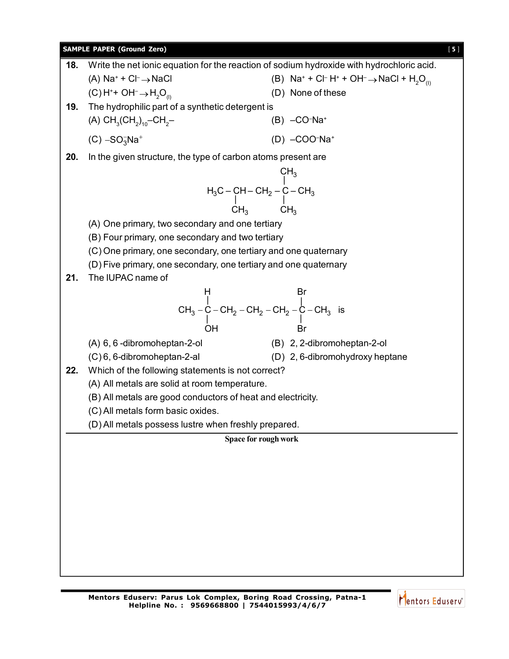

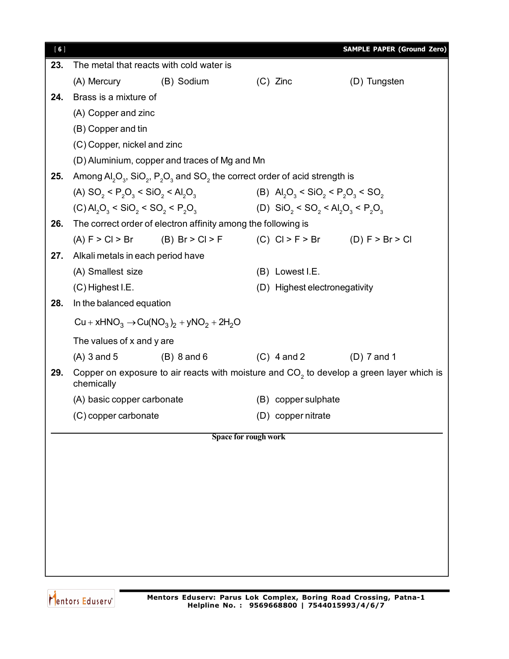| [6] |                                                                                                          |                                                                                                                                                |                                                                                 | <b>SAMPLE PAPER (Ground Zero)</b> |  |  |
|-----|----------------------------------------------------------------------------------------------------------|------------------------------------------------------------------------------------------------------------------------------------------------|---------------------------------------------------------------------------------|-----------------------------------|--|--|
| 23. |                                                                                                          | The metal that reacts with cold water is                                                                                                       |                                                                                 |                                   |  |  |
|     | (A) Mercury                                                                                              | (B) Sodium                                                                                                                                     | $(C)$ Zinc                                                                      | (D) Tungsten                      |  |  |
| 24. | Brass is a mixture of                                                                                    |                                                                                                                                                |                                                                                 |                                   |  |  |
|     | (A) Copper and zinc                                                                                      |                                                                                                                                                |                                                                                 |                                   |  |  |
|     | (B) Copper and tin                                                                                       |                                                                                                                                                |                                                                                 |                                   |  |  |
|     | (C) Copper, nickel and zinc                                                                              |                                                                                                                                                |                                                                                 |                                   |  |  |
|     |                                                                                                          | (D) Aluminium, copper and traces of Mg and Mn                                                                                                  |                                                                                 |                                   |  |  |
| 25. |                                                                                                          | Among $\mathsf{Al}_2\mathsf{O}_3$ , SiO <sub>2</sub> , P <sub>2</sub> O <sub>3</sub> and SO <sub>2</sub> the correct order of acid strength is |                                                                                 |                                   |  |  |
|     | (A) SO <sub>2</sub> < P <sub>2</sub> O <sub>3</sub> < SiO <sub>2</sub> < Al <sub>2</sub> O <sub>3</sub>  |                                                                                                                                                | (B) $\text{Al}_2\text{O}_3 < \text{SiO}_2 < \text{P}_2\text{O}_3 < \text{SO}_2$ |                                   |  |  |
|     |                                                                                                          | (C) $AI_2O_3 < SiO_2 < SO_2 < P_2O_3$ (D) $SiO_2 < SO_2 < Al_2O_3 < P_2O_3$                                                                    |                                                                                 |                                   |  |  |
| 26. |                                                                                                          | The correct order of electron affinity among the following is                                                                                  |                                                                                 |                                   |  |  |
|     |                                                                                                          | (A) $F > Cl > Br$ (B) $Br > Cl > F$ (C) $Cl > F > Br$ (D) $F > Br > Cl$                                                                        |                                                                                 |                                   |  |  |
| 27. | Alkali metals in each period have                                                                        |                                                                                                                                                |                                                                                 |                                   |  |  |
|     | (A) Smallest size                                                                                        |                                                                                                                                                | (B) Lowest I.E.                                                                 |                                   |  |  |
|     | $(C)$ Highest I.E.                                                                                       |                                                                                                                                                | (D) Highest electronegativity                                                   |                                   |  |  |
| 28. | In the balanced equation                                                                                 |                                                                                                                                                |                                                                                 |                                   |  |  |
|     |                                                                                                          | $Cu + xHNO3 \rightarrow Cu(NO3)2 + yNO2 + 2H2O$                                                                                                |                                                                                 |                                   |  |  |
|     | The values of x and y are                                                                                |                                                                                                                                                |                                                                                 |                                   |  |  |
|     | $(A)$ 3 and 5                                                                                            | $(B)$ 8 and 6                                                                                                                                  | $(C)$ 4 and 2                                                                   | $(D)$ 7 and 1                     |  |  |
| 29. | Copper on exposure to air reacts with moisture and $CO2$ to develop a green layer which is<br>chemically |                                                                                                                                                |                                                                                 |                                   |  |  |
|     | (A) basic copper carbonate                                                                               |                                                                                                                                                | (B) copper sulphate                                                             |                                   |  |  |
|     | (C) copper carbonate                                                                                     |                                                                                                                                                | (D) copper nitrate                                                              |                                   |  |  |
|     |                                                                                                          |                                                                                                                                                | Space for rough work                                                            |                                   |  |  |
|     |                                                                                                          |                                                                                                                                                |                                                                                 |                                   |  |  |
|     |                                                                                                          |                                                                                                                                                |                                                                                 |                                   |  |  |
|     |                                                                                                          |                                                                                                                                                |                                                                                 |                                   |  |  |
|     |                                                                                                          |                                                                                                                                                |                                                                                 |                                   |  |  |
|     |                                                                                                          |                                                                                                                                                |                                                                                 |                                   |  |  |
|     |                                                                                                          |                                                                                                                                                |                                                                                 |                                   |  |  |
|     |                                                                                                          |                                                                                                                                                |                                                                                 |                                   |  |  |
|     |                                                                                                          |                                                                                                                                                |                                                                                 |                                   |  |  |
|     |                                                                                                          |                                                                                                                                                |                                                                                 |                                   |  |  |

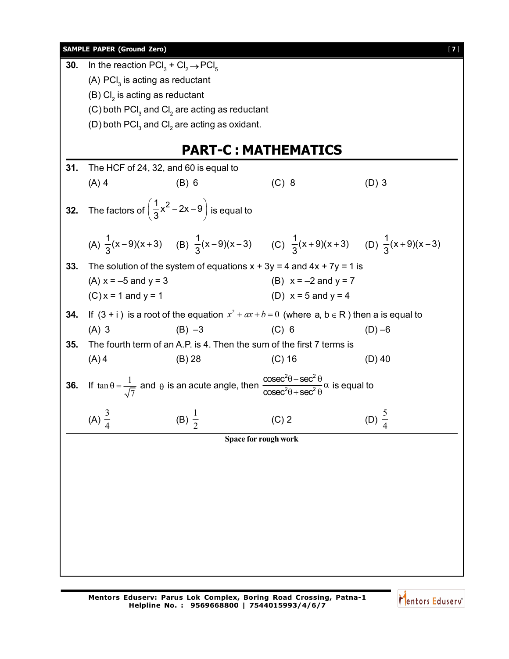|     | <b>SAMPLE PAPER (Ground Zero)</b>                                     |                                                                       |                                                                                                                                                              | $[7]$             |
|-----|-----------------------------------------------------------------------|-----------------------------------------------------------------------|--------------------------------------------------------------------------------------------------------------------------------------------------------------|-------------------|
| 30. | In the reaction $\text{PCI}_3 + \text{Cl}_2 \rightarrow \text{PCI}_5$ |                                                                       |                                                                                                                                                              |                   |
|     | (A) $\text{PCI}_3$ is acting as reductant                             |                                                                       |                                                                                                                                                              |                   |
|     | $(B)$ Cl <sub>2</sub> is acting as reductant                          |                                                                       |                                                                                                                                                              |                   |
|     |                                                                       | (C) both $\text{PCI}_3$ and CI <sub>2</sub> are acting as reductant   |                                                                                                                                                              |                   |
|     |                                                                       | (D) both $\text{PCI}_3$ and CI <sub>2</sub> are acting as oxidant.    |                                                                                                                                                              |                   |
|     |                                                                       |                                                                       |                                                                                                                                                              |                   |
|     |                                                                       |                                                                       | <b>PART-C: MATHEMATICS</b>                                                                                                                                   |                   |
| 31. | The HCF of 24, 32, and 60 is equal to                                 |                                                                       |                                                                                                                                                              |                   |
|     | $(A)$ 4                                                               | $(B)$ 6                                                               | $(C)$ 8                                                                                                                                                      | $(D)$ 3           |
| 32. |                                                                       | The factors of $\left(\frac{1}{3}x^2-2x-9\right)$ is equal to         |                                                                                                                                                              |                   |
|     |                                                                       |                                                                       | (A) $\frac{1}{2}(x-9)(x+3)$ (B) $\frac{1}{3}(x-9)(x-3)$ (C) $\frac{1}{3}(x+9)(x+3)$ (D) $\frac{1}{3}(x+9)(x-3)$                                              |                   |
| 33. |                                                                       |                                                                       | The solution of the system of equations $x + 3y = 4$ and $4x + 7y = 1$ is                                                                                    |                   |
|     | (A) $x = -5$ and $y = 3$                                              |                                                                       | (B) $x = -2$ and $y = 7$                                                                                                                                     |                   |
|     | $(C) x = 1$ and $y = 1$                                               |                                                                       | (D) $x = 5$ and $y = 4$                                                                                                                                      |                   |
| 34. |                                                                       |                                                                       | If $(3 + i)$ is a root of the equation $x^2 + ax + b = 0$ (where a, b $\in$ R) then a is equal to                                                            |                   |
|     | $(A)$ 3                                                               | $(B) -3$                                                              | $(C)$ 6                                                                                                                                                      | $(D) -6$          |
| 35. |                                                                       | The fourth term of an A.P. is 4. Then the sum of the first 7 terms is |                                                                                                                                                              |                   |
|     | $(A)$ 4                                                               | (B) 28                                                                | $(C)$ 16                                                                                                                                                     | $(D)$ 40          |
| 36. |                                                                       |                                                                       | If $\tan \theta = \frac{1}{\sqrt{7}}$ and $\theta$ is an acute angle, then $\frac{\csc^2 \theta - \sec^2 \theta}{\csc^2 \theta + \sec^2 \theta}$ is equal to |                   |
|     | (A) $\frac{3}{4}$<br>(B) $\frac{1}{2}$                                |                                                                       | $(C)$ 2                                                                                                                                                      | (D) $\frac{5}{4}$ |
|     |                                                                       |                                                                       | Space for rough work                                                                                                                                         |                   |
|     |                                                                       |                                                                       |                                                                                                                                                              |                   |
|     |                                                                       |                                                                       |                                                                                                                                                              |                   |
|     |                                                                       |                                                                       |                                                                                                                                                              |                   |
|     |                                                                       |                                                                       |                                                                                                                                                              |                   |
|     |                                                                       |                                                                       |                                                                                                                                                              |                   |
|     |                                                                       |                                                                       |                                                                                                                                                              |                   |
|     |                                                                       |                                                                       |                                                                                                                                                              |                   |
|     |                                                                       |                                                                       |                                                                                                                                                              |                   |
|     |                                                                       |                                                                       |                                                                                                                                                              |                   |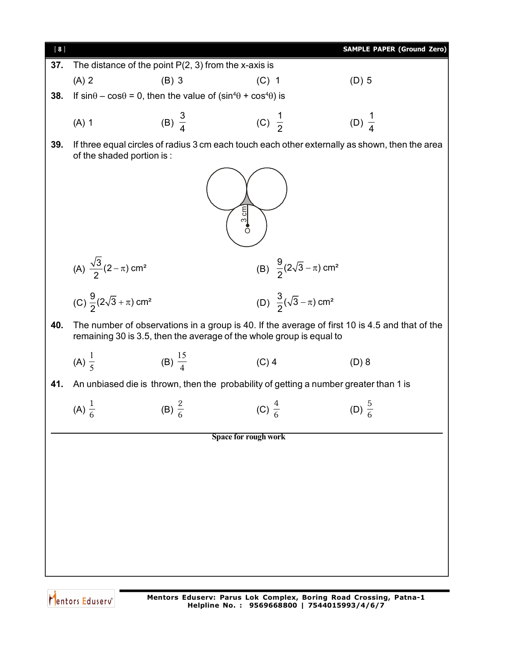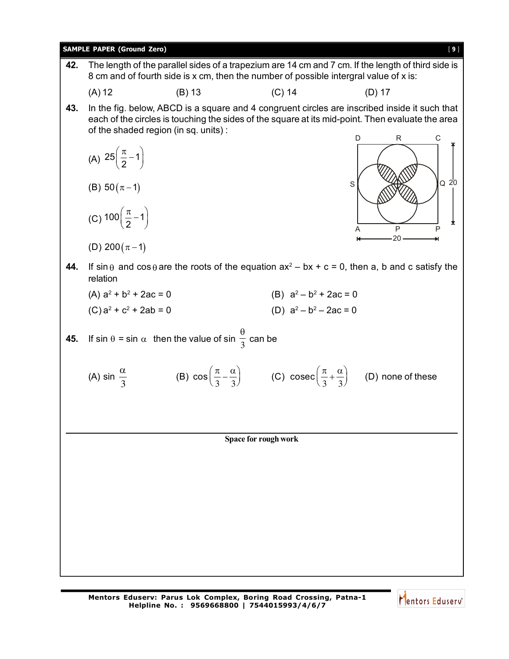

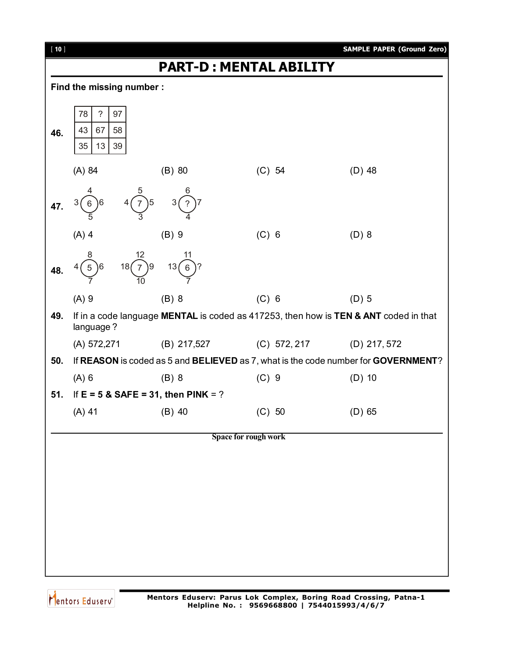

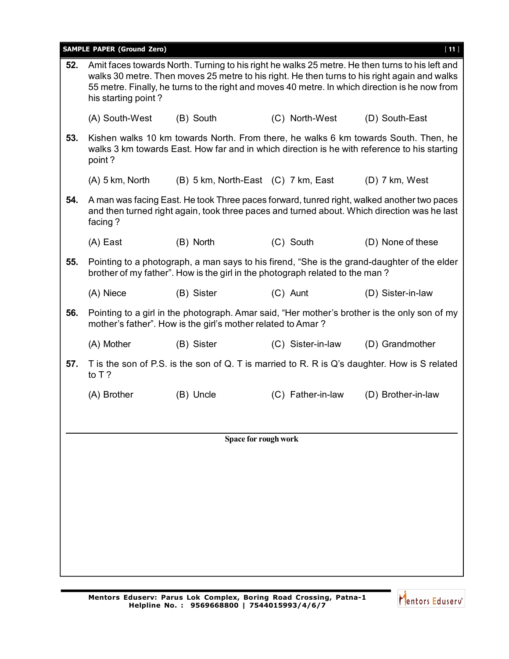**SAMPLE PAPER (Ground Zero)** [ **11** ]

| 52. | his starting point? |                                                                              |                   | Amit faces towards North. Turning to his right he walks 25 metre. He then turns to his left and<br>walks 30 metre. Then moves 25 metre to his right. He then turns to his right again and walks<br>55 metre. Finally, he turns to the right and moves 40 metre. In which direction is he now from |
|-----|---------------------|------------------------------------------------------------------------------|-------------------|---------------------------------------------------------------------------------------------------------------------------------------------------------------------------------------------------------------------------------------------------------------------------------------------------|
|     | (A) South-West      | (B) South                                                                    | (C) North-West    | (D) South-East                                                                                                                                                                                                                                                                                    |
| 53. | point?              |                                                                              |                   | Kishen walks 10 km towards North. From there, he walks 6 km towards South. Then, he<br>walks 3 km towards East. How far and in which direction is he with reference to his starting                                                                                                               |
|     | $(A)$ 5 km, North   | (B) 5 km, North-East (C) 7 km, East                                          |                   | $(D)$ 7 km, West                                                                                                                                                                                                                                                                                  |
| 54. | facing?             |                                                                              |                   | A man was facing East. He took Three paces forward, tunred right, walked another two paces<br>and then turned right again, took three paces and turned about. Which direction was he last                                                                                                         |
|     | (A) East            | (B) North                                                                    | (C) South         | (D) None of these                                                                                                                                                                                                                                                                                 |
| 55. |                     | brother of my father". How is the girl in the photograph related to the man? |                   | Pointing to a photograph, a man says to his firend, "She is the grand-daughter of the elder                                                                                                                                                                                                       |
|     | (A) Niece           | (B) Sister                                                                   | (C) Aunt          | (D) Sister-in-law                                                                                                                                                                                                                                                                                 |
| 56. |                     | mother's father". How is the girl's mother related to Amar?                  |                   | Pointing to a girl in the photograph. Amar said, "Her mother's brother is the only son of my                                                                                                                                                                                                      |
|     | (A) Mother          | (B) Sister                                                                   | (C) Sister-in-law | (D) Grandmother                                                                                                                                                                                                                                                                                   |
| 57. | to $T$ ?            |                                                                              |                   | T is the son of P.S. is the son of Q. T is married to R. R is Q's daughter. How is S related                                                                                                                                                                                                      |
|     | (A) Brother         | (B) Uncle                                                                    | (C) Father-in-law | (D) Brother-in-law                                                                                                                                                                                                                                                                                |
|     |                     |                                                                              |                   |                                                                                                                                                                                                                                                                                                   |
|     |                     | Space for rough work                                                         |                   |                                                                                                                                                                                                                                                                                                   |
|     |                     |                                                                              |                   |                                                                                                                                                                                                                                                                                                   |
|     |                     |                                                                              |                   |                                                                                                                                                                                                                                                                                                   |
|     |                     |                                                                              |                   |                                                                                                                                                                                                                                                                                                   |
|     |                     |                                                                              |                   |                                                                                                                                                                                                                                                                                                   |
|     |                     |                                                                              |                   |                                                                                                                                                                                                                                                                                                   |
|     |                     |                                                                              |                   |                                                                                                                                                                                                                                                                                                   |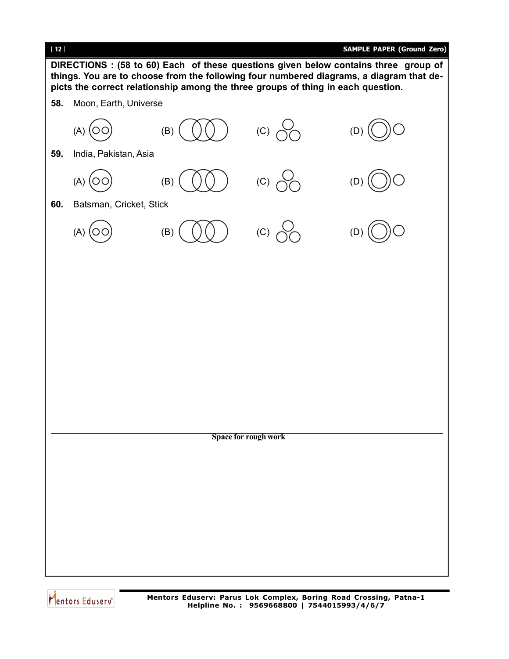